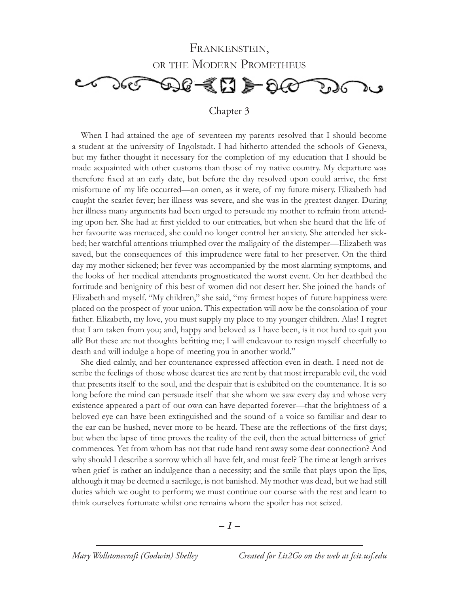

When I had attained the age of seventeen my parents resolved that I should become a student at the university of Ingolstadt. I had hitherto attended the schools of Geneva, but my father thought it necessary for the completion of my education that I should be made acquainted with other customs than those of my native country. My departure was therefore fixed at an early date, but before the day resolved upon could arrive, the first misfortune of my life occurred—an omen, as it were, of my future misery. Elizabeth had caught the scarlet fever; her illness was severe, and she was in the greatest danger. During her illness many arguments had been urged to persuade my mother to refrain from attending upon her. She had at first yielded to our entreaties, but when she heard that the life of her favourite was menaced, she could no longer control her anxiety. She attended her sickbed; her watchful attentions triumphed over the malignity of the distemper—Elizabeth was saved, but the consequences of this imprudence were fatal to her preserver. On the third day my mother sickened; her fever was accompanied by the most alarming symptoms, and the looks of her medical attendants prognosticated the worst event. On her deathbed the fortitude and benignity of this best of women did not desert her. She joined the hands of Elizabeth and myself. "My children," she said, "my firmest hopes of future happiness were placed on the prospect of your union. This expectation will now be the consolation of your father. Elizabeth, my love, you must supply my place to my younger children. Alas! I regret that I am taken from you; and, happy and beloved as I have been, is it not hard to quit you all? But these are not thoughts befitting me; I will endeavour to resign myself cheerfully to death and will indulge a hope of meeting you in another world."

She died calmly, and her countenance expressed affection even in death. I need not describe the feelings of those whose dearest ties are rent by that most irreparable evil, the void that presents itself to the soul, and the despair that is exhibited on the countenance. It is so long before the mind can persuade itself that she whom we saw every day and whose very existence appeared a part of our own can have departed forever—that the brightness of a beloved eye can have been extinguished and the sound of a voice so familiar and dear to the ear can be hushed, never more to be heard. These are the reflections of the first days; but when the lapse of time proves the reality of the evil, then the actual bitterness of grief commences. Yet from whom has not that rude hand rent away some dear connection? And why should I describe a sorrow which all have felt, and must feel? The time at length arrives when grief is rather an indulgence than a necessity; and the smile that plays upon the lips, although it may be deemed a sacrilege, is not banished. My mother was dead, but we had still duties which we ought to perform; we must continue our course with the rest and learn to think ourselves fortunate whilst one remains whom the spoiler has not seized.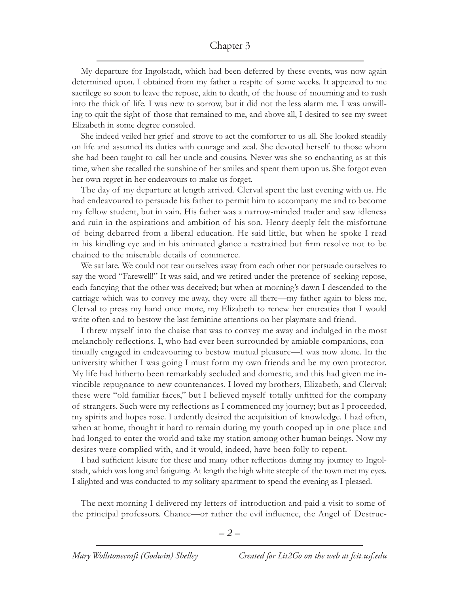My departure for Ingolstadt, which had been deferred by these events, was now again determined upon. I obtained from my father a respite of some weeks. It appeared to me sacrilege so soon to leave the repose, akin to death, of the house of mourning and to rush into the thick of life. I was new to sorrow, but it did not the less alarm me. I was unwilling to quit the sight of those that remained to me, and above all, I desired to see my sweet Elizabeth in some degree consoled.

She indeed veiled her grief and strove to act the comforter to us all. She looked steadily on life and assumed its duties with courage and zeal. She devoted herself to those whom she had been taught to call her uncle and cousins. Never was she so enchanting as at this time, when she recalled the sunshine of her smiles and spent them upon us. She forgot even her own regret in her endeavours to make us forget.

The day of my departure at length arrived. Clerval spent the last evening with us. He had endeavoured to persuade his father to permit him to accompany me and to become my fellow student, but in vain. His father was a narrow-minded trader and saw idleness and ruin in the aspirations and ambition of his son. Henry deeply felt the misfortune of being debarred from a liberal education. He said little, but when he spoke I read in his kindling eye and in his animated glance a restrained but firm resolve not to be chained to the miserable details of commerce.

We sat late. We could not tear ourselves away from each other nor persuade ourselves to say the word "Farewell!" It was said, and we retired under the pretence of seeking repose, each fancying that the other was deceived; but when at morning's dawn I descended to the carriage which was to convey me away, they were all there—my father again to bless me, Clerval to press my hand once more, my Elizabeth to renew her entreaties that I would write often and to bestow the last feminine attentions on her playmate and friend.

I threw myself into the chaise that was to convey me away and indulged in the most melancholy reflections. I, who had ever been surrounded by amiable companions, continually engaged in endeavouring to bestow mutual pleasure—I was now alone. In the university whither I was going I must form my own friends and be my own protector. My life had hitherto been remarkably secluded and domestic, and this had given me invincible repugnance to new countenances. I loved my brothers, Elizabeth, and Clerval; these were "old familiar faces," but I believed myself totally unfitted for the company of strangers. Such were my reflections as I commenced my journey; but as I proceeded, my spirits and hopes rose. I ardently desired the acquisition of knowledge. I had often, when at home, thought it hard to remain during my youth cooped up in one place and had longed to enter the world and take my station among other human beings. Now my desires were complied with, and it would, indeed, have been folly to repent.

I had sufficient leisure for these and many other reflections during my journey to Ingolstadt, which was long and fatiguing. At length the high white steeple of the town met my eyes. I alighted and was conducted to my solitary apartment to spend the evening as I pleased.

The next morning I delivered my letters of introduction and paid a visit to some of the principal professors. Chance—or rather the evil influence, the Angel of Destruc-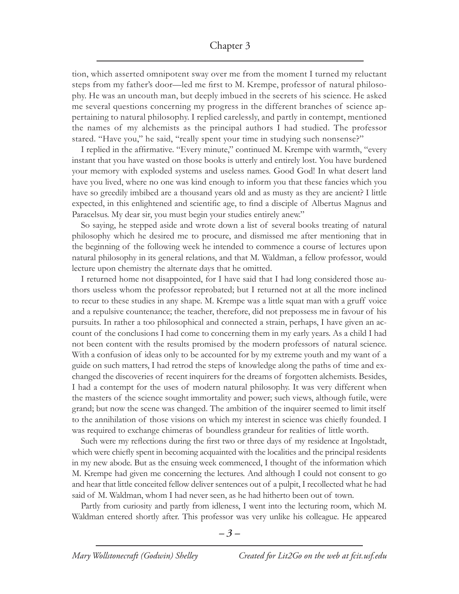tion, which asserted omnipotent sway over me from the moment I turned my reluctant steps from my father's door—led me first to M. Krempe, professor of natural philosophy. He was an uncouth man, but deeply imbued in the secrets of his science. He asked me several questions concerning my progress in the different branches of science appertaining to natural philosophy. I replied carelessly, and partly in contempt, mentioned the names of my alchemists as the principal authors I had studied. The professor stared. "Have you," he said, "really spent your time in studying such nonsense?"

I replied in the affirmative. "Every minute," continued M. Krempe with warmth, "every instant that you have wasted on those books is utterly and entirely lost. You have burdened your memory with exploded systems and useless names. Good God! In what desert land have you lived, where no one was kind enough to inform you that these fancies which you have so greedily imbibed are a thousand years old and as musty as they are ancient? I little expected, in this enlightened and scientific age, to find a disciple of Albertus Magnus and Paracelsus. My dear sir, you must begin your studies entirely anew."

So saying, he stepped aside and wrote down a list of several books treating of natural philosophy which he desired me to procure, and dismissed me after mentioning that in the beginning of the following week he intended to commence a course of lectures upon natural philosophy in its general relations, and that M. Waldman, a fellow professor, would lecture upon chemistry the alternate days that he omitted.

I returned home not disappointed, for I have said that I had long considered those authors useless whom the professor reprobated; but I returned not at all the more inclined to recur to these studies in any shape. M. Krempe was a little squat man with a gruff voice and a repulsive countenance; the teacher, therefore, did not prepossess me in favour of his pursuits. In rather a too philosophical and connected a strain, perhaps, I have given an account of the conclusions I had come to concerning them in my early years. As a child I had not been content with the results promised by the modern professors of natural science. With a confusion of ideas only to be accounted for by my extreme youth and my want of a guide on such matters, I had retrod the steps of knowledge along the paths of time and exchanged the discoveries of recent inquirers for the dreams of forgotten alchemists. Besides, I had a contempt for the uses of modern natural philosophy. It was very different when the masters of the science sought immortality and power; such views, although futile, were grand; but now the scene was changed. The ambition of the inquirer seemed to limit itself to the annihilation of those visions on which my interest in science was chiefly founded. I was required to exchange chimeras of boundless grandeur for realities of little worth.

Such were my reflections during the first two or three days of my residence at Ingolstadt, which were chiefly spent in becoming acquainted with the localities and the principal residents in my new abode. But as the ensuing week commenced, I thought of the information which M. Krempe had given me concerning the lectures. And although I could not consent to go and hear that little conceited fellow deliver sentences out of a pulpit, I recollected what he had said of M. Waldman, whom I had never seen, as he had hitherto been out of town.

Partly from curiosity and partly from idleness, I went into the lecturing room, which M. Waldman entered shortly after. This professor was very unlike his colleague. He appeared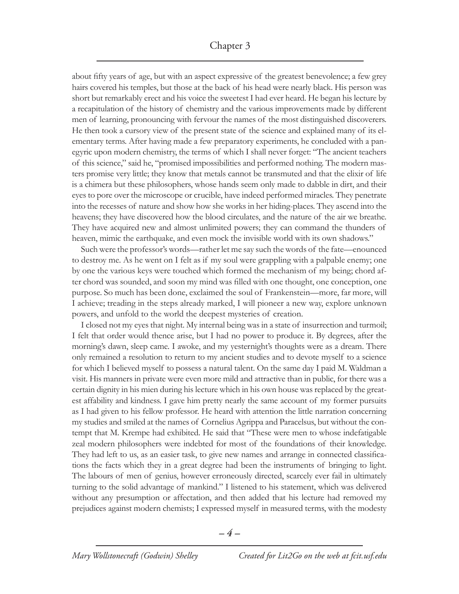about fifty years of age, but with an aspect expressive of the greatest benevolence; a few grey hairs covered his temples, but those at the back of his head were nearly black. His person was short but remarkably erect and his voice the sweetest I had ever heard. He began his lecture by a recapitulation of the history of chemistry and the various improvements made by different men of learning, pronouncing with fervour the names of the most distinguished discoverers. He then took a cursory view of the present state of the science and explained many of its elementary terms. After having made a few preparatory experiments, he concluded with a panegyric upon modern chemistry, the terms of which I shall never forget: "The ancient teachers of this science," said he, "promised impossibilities and performed nothing. The modern masters promise very little; they know that metals cannot be transmuted and that the elixir of life is a chimera but these philosophers, whose hands seem only made to dabble in dirt, and their eyes to pore over the microscope or crucible, have indeed performed miracles. They penetrate into the recesses of nature and show how she works in her hiding-places. They ascend into the heavens; they have discovered how the blood circulates, and the nature of the air we breathe. They have acquired new and almost unlimited powers; they can command the thunders of heaven, mimic the earthquake, and even mock the invisible world with its own shadows."

Such were the professor's words—rather let me say such the words of the fate—enounced to destroy me. As he went on I felt as if my soul were grappling with a palpable enemy; one by one the various keys were touched which formed the mechanism of my being; chord after chord was sounded, and soon my mind was filled with one thought, one conception, one purpose. So much has been done, exclaimed the soul of Frankenstein—more, far more, will I achieve; treading in the steps already marked, I will pioneer a new way, explore unknown powers, and unfold to the world the deepest mysteries of creation.

I closed not my eyes that night. My internal being was in a state of insurrection and turmoil; I felt that order would thence arise, but I had no power to produce it. By degrees, after the morning's dawn, sleep came. I awoke, and my yesternight's thoughts were as a dream. There only remained a resolution to return to my ancient studies and to devote myself to a science for which I believed myself to possess a natural talent. On the same day I paid M. Waldman a visit. His manners in private were even more mild and attractive than in public, for there was a certain dignity in his mien during his lecture which in his own house was replaced by the greatest affability and kindness. I gave him pretty nearly the same account of my former pursuits as I had given to his fellow professor. He heard with attention the little narration concerning my studies and smiled at the names of Cornelius Agrippa and Paracelsus, but without the contempt that M. Krempe had exhibited. He said that "These were men to whose indefatigable zeal modern philosophers were indebted for most of the foundations of their knowledge. They had left to us, as an easier task, to give new names and arrange in connected classifications the facts which they in a great degree had been the instruments of bringing to light. The labours of men of genius, however erroneously directed, scarcely ever fail in ultimately turning to the solid advantage of mankind." I listened to his statement, which was delivered without any presumption or affectation, and then added that his lecture had removed my prejudices against modern chemists; I expressed myself in measured terms, with the modesty